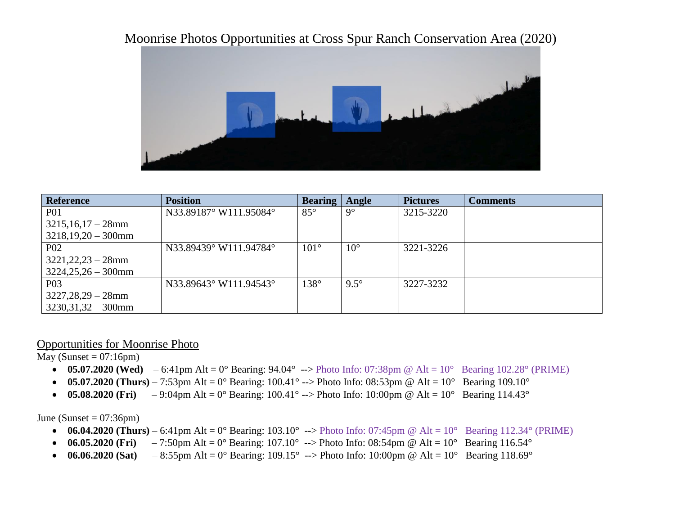## Moonrise Photos Opportunities at Cross Spur Ranch Conservation Area (2020)



| <b>Reference</b>      | <b>Position</b>        | <b>Bearing</b> | Angle        | <b>Pictures</b> | <b>Comments</b> |
|-----------------------|------------------------|----------------|--------------|-----------------|-----------------|
| <b>P01</b>            | N33.89187° W111.95084° | $85^{\circ}$   | $9^{\circ}$  | 3215-3220       |                 |
| $3215,16,17-28$ mm    |                        |                |              |                 |                 |
| $3218,19,20 - 300$ mm |                        |                |              |                 |                 |
| <b>P02</b>            | N33.89439° W111.94784° | $101^{\circ}$  | $10^{\circ}$ | 3221-3226       |                 |
| $3221,22,23 - 28$ mm  |                        |                |              |                 |                 |
| $3224,25,26 - 300$ mm |                        |                |              |                 |                 |
| P <sub>0</sub> 3      | N33.89643° W111.94543° | $138^\circ$    | $9.5^\circ$  | 3227-3232       |                 |
| $3227,28,29 - 28$ mm  |                        |                |              |                 |                 |
| $3230,31,32 - 300$ mm |                        |                |              |                 |                 |

## Opportunities for Moonrise Photo

May (Sunset =  $07:16$ pm)

- **05.07.2020 (Wed)** 6:41pm Alt =  $0^{\circ}$  Bearing: 94.04° --> Photo Info: 07:38pm @ Alt =  $10^{\circ}$  Bearing 102.28° (PRIME)
- **05.07.2020 (Thurs)** 7:53pm Alt = 0° Bearing: 100.41° --> Photo Info: 08:53pm @ Alt =  $10^{\circ}$  Bearing 109.10°
- **05.08.2020 (Fri)** 9:04pm Alt = 0° Bearing: 100.41° --> Photo Info: 10:00pm @ Alt = 10° Bearing 114.43°

June (Sunset =  $07:36$ pm)

- **06.04.2020 (Thurs)**  $6:41 \text{pm}$  Alt  $= 0^{\circ}$  Bearing: 103.10°  $\rightarrow$  Photo Info: 07:45 $\text{pm}$  @ Alt  $= 10^{\circ}$  Bearing 112.34° (PRIME)
- **06.05.2020 (Fri)** 7:50pm Alt = 0° Bearing: 107.10° --> Photo Info: 08:54pm @ Alt =  $10^{\circ}$  Bearing 116.54°
- **06.06.2020 (Sat)** 8:55pm Alt = 0° Bearing: 109.15° --> Photo Info: 10:00pm @ Alt = 10° Bearing 118.69°